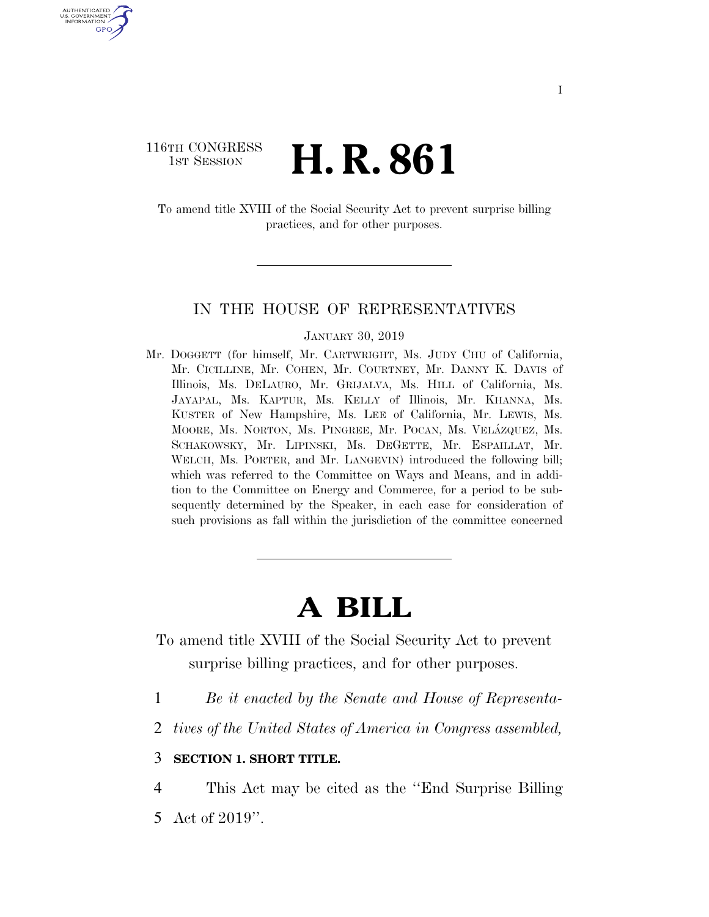# 116TH CONGRESS **1st Session H. R. 861**

U.S. GOVERNMENT GPO

> To amend title XVIII of the Social Security Act to prevent surprise billing practices, and for other purposes.

### IN THE HOUSE OF REPRESENTATIVES

#### JANUARY 30, 2019

Mr. DOGGETT (for himself, Mr. CARTWRIGHT, Ms. JUDY CHU of California, Mr. CICILLINE, Mr. COHEN, Mr. COURTNEY, Mr. DANNY K. DAVIS of Illinois, Ms. DELAURO, Mr. GRIJALVA, Ms. HILL of California, Ms. JAYAPAL, Ms. KAPTUR, Ms. KELLY of Illinois, Mr. KHANNA, Ms. KUSTER of New Hampshire, Ms. LEE of California, Mr. LEWIS, Ms. MOORE, Ms. NORTON, Ms. PINGREE, Mr. POCAN, Ms. VELÁZQUEZ, Ms. SCHAKOWSKY, Mr. LIPINSKI, Ms. DEGETTE, Mr. ESPAILLAT, Mr. WELCH, Ms. PORTER, and Mr. LANGEVIN) introduced the following bill; which was referred to the Committee on Ways and Means, and in addition to the Committee on Energy and Commerce, for a period to be subsequently determined by the Speaker, in each case for consideration of such provisions as fall within the jurisdiction of the committee concerned

# **A BILL**

To amend title XVIII of the Social Security Act to prevent surprise billing practices, and for other purposes.

- 1 *Be it enacted by the Senate and House of Representa-*
- 2 *tives of the United States of America in Congress assembled,*

## 3 **SECTION 1. SHORT TITLE.**

4 This Act may be cited as the ''End Surprise Billing

5 Act of 2019''.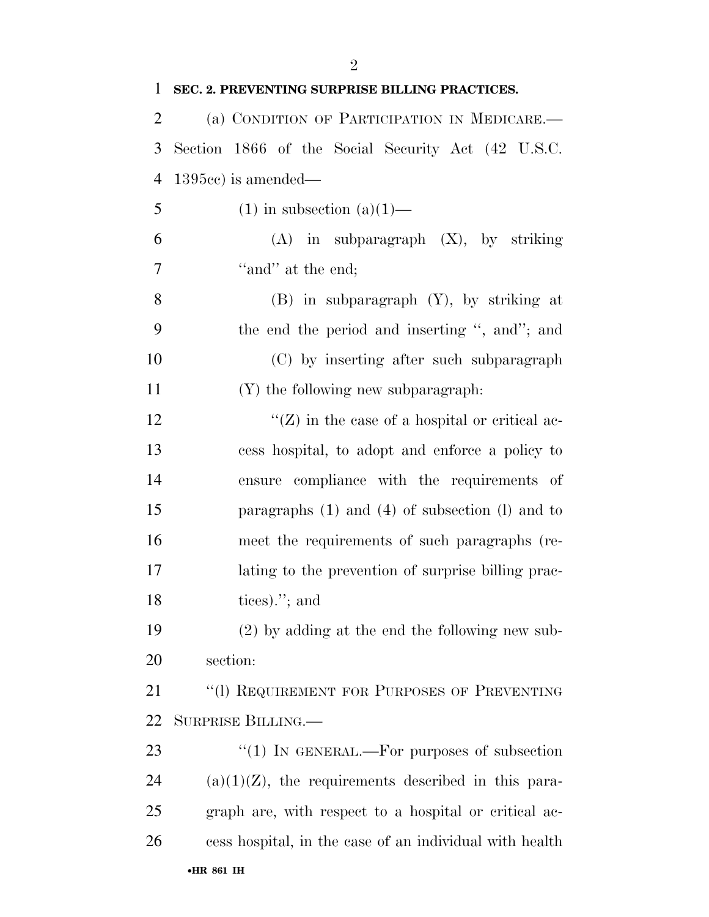| $\mathbf{1}$  | SEC. 2. PREVENTING SURPRISE BILLING PRACTICES.          |
|---------------|---------------------------------------------------------|
| 2             | (a) CONDITION OF PARTICIPATION IN MEDICARE.-            |
| 3             | Section 1866 of the Social Security Act (42 U.S.C.      |
| 4             | $1395cc$ is amended—                                    |
| 5             | $(1)$ in subsection $(a)(1)$ —                          |
| 6             | $(A)$ in subparagraph $(X)$ , by striking               |
| 7             | "and" at the end;                                       |
| 8             | $(B)$ in subparagraph $(Y)$ , by striking at            |
| 9             | the end the period and inserting ", and"; and           |
| 10            | (C) by inserting after such subparagraph                |
| <sup>11</sup> | (Y) the following new subparagraph.                     |
| 12            | " $(Z)$ in the case of a hospital or critical ac-       |
| 13            | cess hospital, to adopt and enforce a policy to         |
| 14            | ensure compliance with the requirements of              |
| 15            | paragraphs $(1)$ and $(4)$ of subsection $(l)$ and to   |
| 16            | meet the requirements of such paragraphs (re-           |
| 17            | lating to the prevention of surprise billing prac-      |
| 18            | tices). $\prime$ ; and                                  |
| 19            | $(2)$ by adding at the end the following new sub-       |
| 20            | section:                                                |
| 21            | "(1) REQUIREMENT FOR PURPOSES OF PREVENTING             |
| 22            | SURPRISE BILLING.                                       |
| 23            | "(1) IN GENERAL.—For purposes of subsection             |
| 24            | $(a)(1)(Z)$ , the requirements described in this para-  |
| 25            | graph are, with respect to a hospital or critical ac-   |
| 26            | cess hospital, in the case of an individual with health |
|               | •HR 861 IH                                              |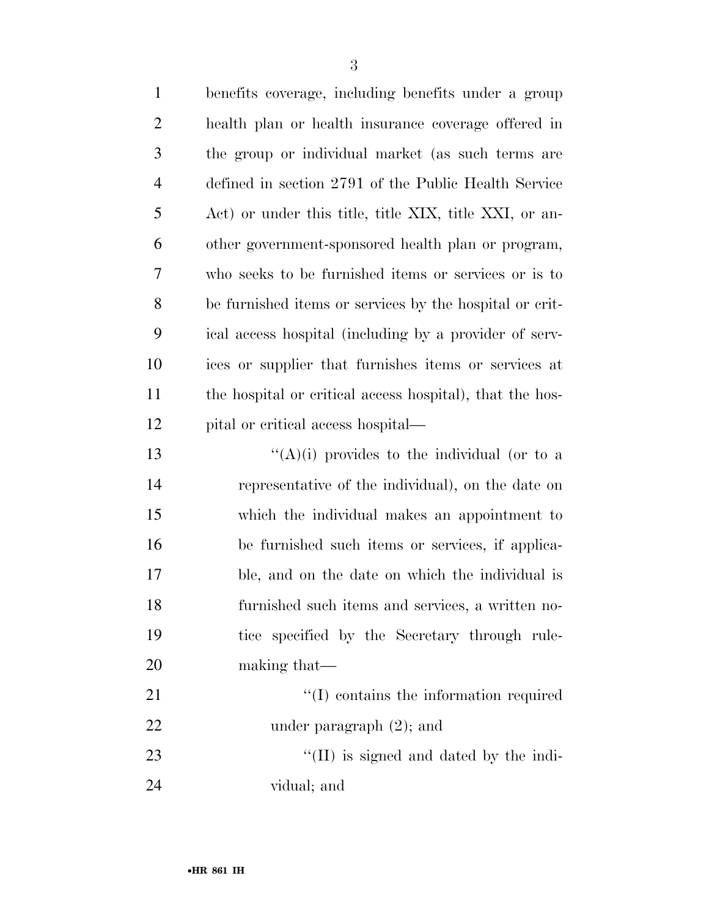| $\mathbf{1}$   | benefits coverage, including benefits under a group      |
|----------------|----------------------------------------------------------|
| $\overline{2}$ | health plan or health insurance coverage offered in      |
| 3              | the group or individual market (as such terms are        |
| $\overline{4}$ | defined in section 2791 of the Public Health Service     |
| 5              | Act) or under this title, title XIX, title XXI, or an-   |
| 6              | other government-sponsored health plan or program,       |
| 7              | who seeks to be furnished items or services or is to     |
| 8              | be furnished items or services by the hospital or crit-  |
| 9              | ical access hospital (including by a provider of serv-   |
| 10             | ices or supplier that furnishes items or services at     |
| 11             | the hospital or critical access hospital), that the hos- |
| 12             | pital or critical access hospital—                       |
| 13             | " $(A)(i)$ provides to the individual (or to a           |
| 14             | representative of the individual), on the date on        |
| 15             | which the individual makes an appointment to             |
| 16             | be furnished such items or services, if applica-         |
| 17             | ble, and on the date on which the individual is          |
| 18             | furnished such items and services, a written no-         |
| 19             | tice specified by the Secretary through rule-            |
| 20             | making that—                                             |
| 21             | $\lq\lq$ contains the information required               |
| 22             | under paragraph $(2)$ ; and                              |
| 23             | $\lq\lq$ (II) is signed and dated by the indi-           |
| 24             | vidual; and                                              |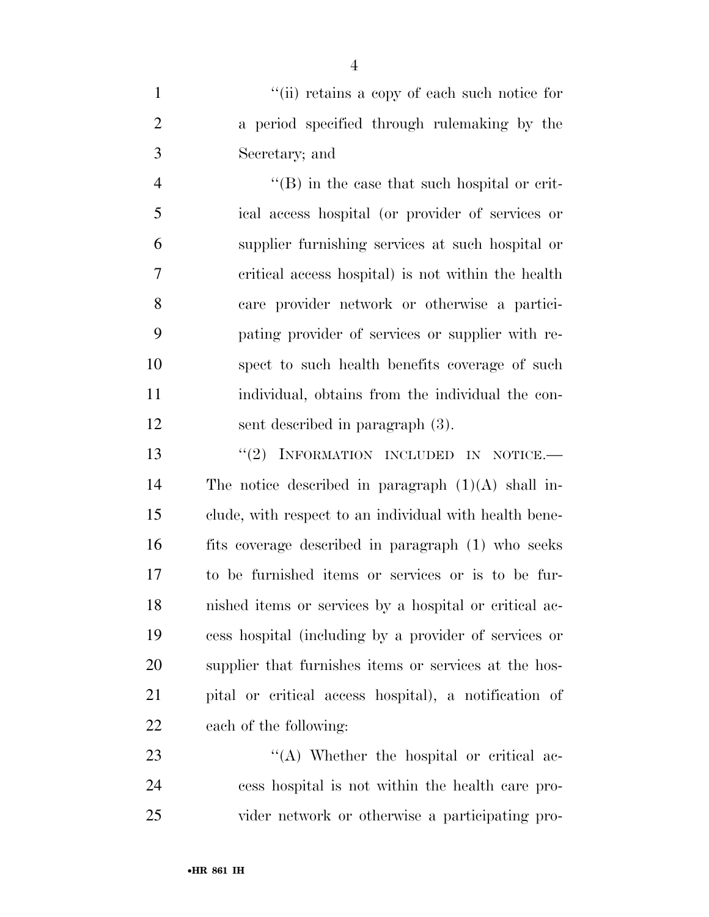1  $''(ii)$  retains a copy of each such notice for a period specified through rulemaking by the Secretary; and

4 ''(B) in the case that such hospital or crit- ical access hospital (or provider of services or supplier furnishing services at such hospital or critical access hospital) is not within the health care provider network or otherwise a partici- pating provider of services or supplier with re- spect to such health benefits coverage of such individual, obtains from the individual the con-sent described in paragraph (3).

13 "(2) INFORMATION INCLUDED IN NOTICE. The notice described in paragraph (1)(A) shall in- clude, with respect to an individual with health bene- fits coverage described in paragraph (1) who seeks to be furnished items or services or is to be fur- nished items or services by a hospital or critical ac- cess hospital (including by a provider of services or supplier that furnishes items or services at the hos- pital or critical access hospital), a notification of each of the following:

23 ''(A) Whether the hospital or critical ac- cess hospital is not within the health care pro-vider network or otherwise a participating pro-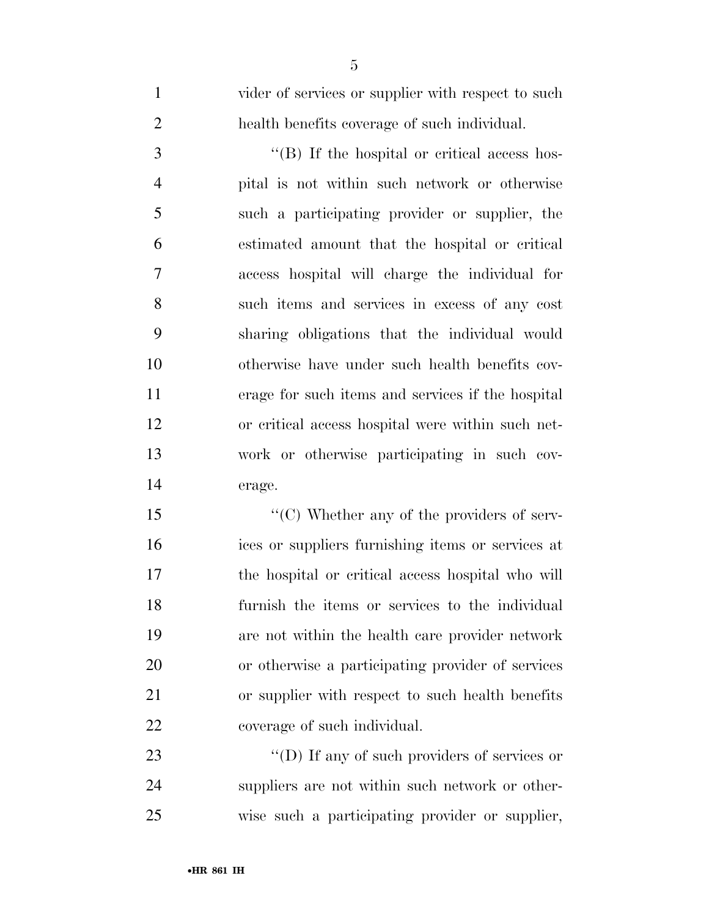| $\mathbf{1}$   | vider of services or supplier with respect to such   |
|----------------|------------------------------------------------------|
| $\overline{2}$ | health benefits coverage of such individual.         |
| $\mathfrak{Z}$ | $\lq\lq$ . If the hospital or critical access hos-   |
| $\overline{4}$ | pital is not within such network or otherwise        |
| 5              | such a participating provider or supplier, the       |
| 6              | estimated amount that the hospital or critical       |
| $\tau$         | access hospital will charge the individual for       |
| 8              | such items and services in excess of any cost        |
| 9              | sharing obligations that the individual would        |
| 10             | otherwise have under such health benefits cov-       |
| 11             | erage for such items and services if the hospital    |
| 12             | or critical access hospital were within such net-    |
| 13             | work or otherwise participating in such cov-         |
| 14             | erage.                                               |
| 15             | $\lq\lq$ (C) Whether any of the providers of serv-   |
| 16             | ices or suppliers furnishing items or services at    |
| 17             | the hospital or critical access hospital who will    |
| 18             | furnish the items or services to the individual      |
| 19             | are not within the health care provider network      |
| 20             | or otherwise a participating provider of services    |
| 21             | or supplier with respect to such health benefits     |
| 22             | coverage of such individual.                         |
| 23             | $\lq\lq$ (D) If any of such providers of services or |
| 24             | suppliers are not within such network or other-      |
| 25             | wise such a participating provider or supplier,      |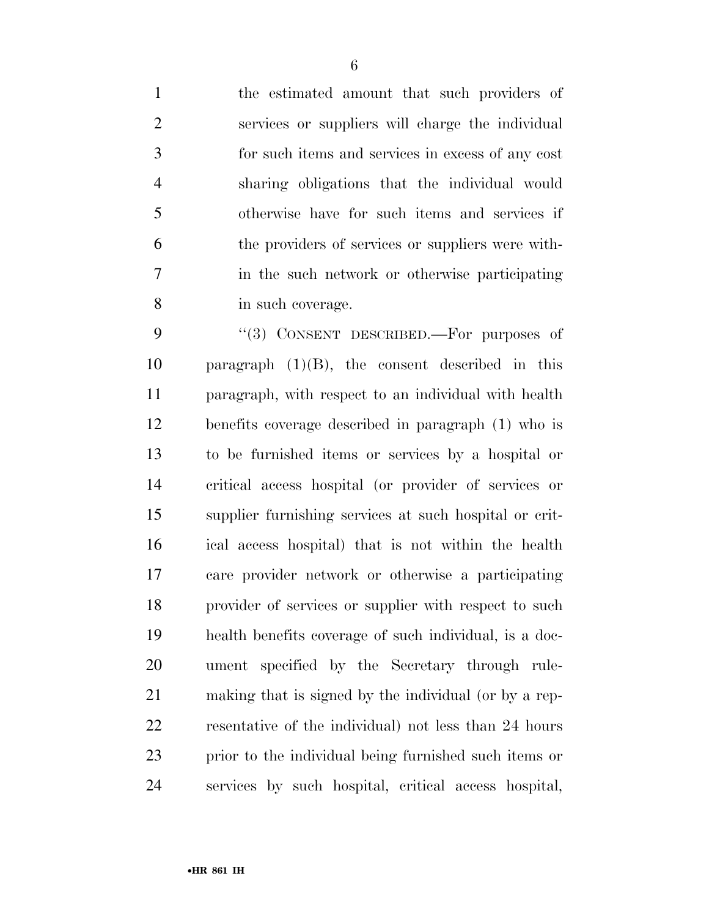the estimated amount that such providers of services or suppliers will charge the individual for such items and services in excess of any cost sharing obligations that the individual would otherwise have for such items and services if the providers of services or suppliers were with- in the such network or otherwise participating in such coverage.

9 "(3) CONSENT DESCRIBED.—For purposes of 10 paragraph  $(1)(B)$ , the consent described in this paragraph, with respect to an individual with health benefits coverage described in paragraph (1) who is to be furnished items or services by a hospital or critical access hospital (or provider of services or supplier furnishing services at such hospital or crit- ical access hospital) that is not within the health care provider network or otherwise a participating provider of services or supplier with respect to such health benefits coverage of such individual, is a doc- ument specified by the Secretary through rule- making that is signed by the individual (or by a rep- resentative of the individual) not less than 24 hours prior to the individual being furnished such items or services by such hospital, critical access hospital,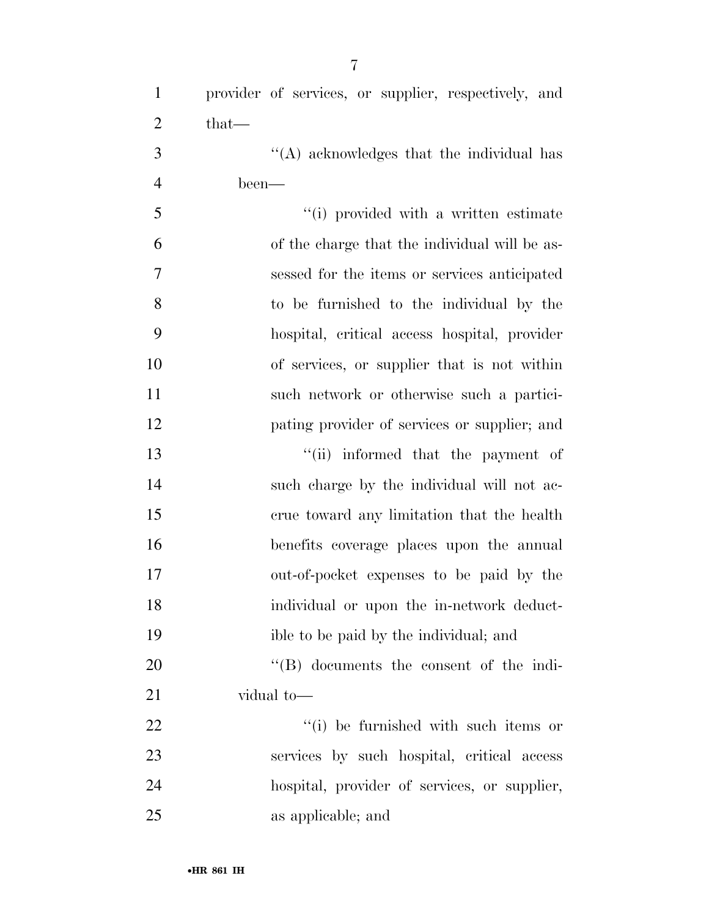| $\mathbf{1}$   | provider of services, or supplier, respectively, and |
|----------------|------------------------------------------------------|
| $\overline{2}$ | $that-$                                              |
| 3              | "(A) acknowledges that the individual has            |
| $\overline{4}$ | been—                                                |
| 5              | "(i) provided with a written estimate                |
| 6              | of the charge that the individual will be as-        |
| 7              | sessed for the items or services anticipated         |
| 8              | to be furnished to the individual by the             |
| 9              | hospital, critical access hospital, provider         |
| 10             | of services, or supplier that is not within          |
| 11             | such network or otherwise such a partici-            |
| 12             | pating provider of services or supplier; and         |
| 13             | "(ii) informed that the payment of                   |
| 14             | such charge by the individual will not ac-           |
| 15             | crue toward any limitation that the health           |
| 16             | benefits coverage places upon the annual             |
| 17             | out-of-pocket expenses to be paid by the             |
| 18             | individual or upon the in-network deduct-            |
| 19             | ible to be paid by the individual; and               |
| 20             | $\lq\lq (B)$ documents the consent of the indi-      |
| 21             | vidual to-                                           |
| 22             | "(i) be furnished with such items or                 |
| 23             | services by such hospital, critical access           |
| 24             | hospital, provider of services, or supplier,         |
|                |                                                      |

as applicable; and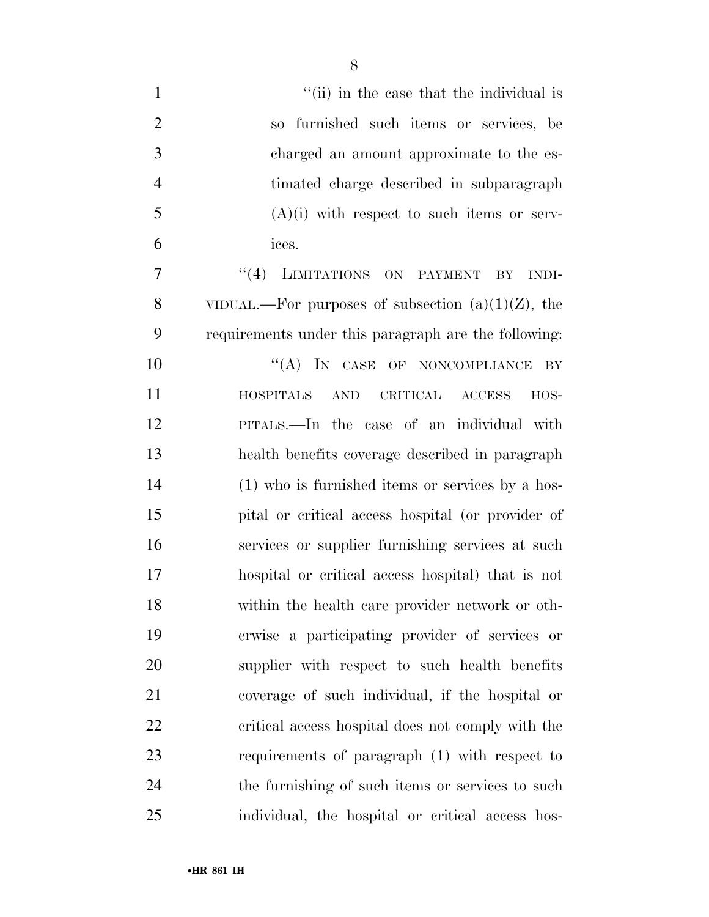| $\mathbf{1}$   | "(ii) in the case that the individual is                            |
|----------------|---------------------------------------------------------------------|
| $\overline{2}$ | so furnished such items or services, be                             |
| 3              | charged an amount approximate to the es-                            |
| $\overline{4}$ | timated charge described in subparagraph                            |
| 5              | $(A)(i)$ with respect to such items or serv-                        |
| 6              | ices.                                                               |
| 7              | "(4) LIMITATIONS ON PAYMENT<br>BY<br>INDI-                          |
| 8              | VIDUAL.—For purposes of subsection $(a)(1)(Z)$ , the                |
| 9              | requirements under this paragraph are the following:                |
| 10             | $\lq\lq (A)$ IN CASE OF NONCOMPLIANCE<br>BY                         |
| 11             | $\operatorname{AND}$<br>CRITICAL ACCESS<br><b>HOSPITALS</b><br>HOS- |
| 12             | PITALS.—In the case of an individual with                           |
| 13             | health benefits coverage described in paragraph                     |
| 14             | $(1)$ who is furnished items or services by a hos-                  |
| 15             | pital or critical access hospital (or provider of                   |
| 16             | services or supplier furnishing services at such                    |
| 17             | hospital or critical access hospital) that is not                   |
| 18             | within the health care provider network or oth-                     |
| 19             | erwise a participating provider of services or                      |
| 20             | supplier with respect to such health benefits                       |
| 21             | coverage of such individual, if the hospital or                     |
| 22             | critical access hospital does not comply with the                   |
| 23             | requirements of paragraph (1) with respect to                       |
| 24             | the furnishing of such items or services to such                    |
| 25             | individual, the hospital or critical access hos-                    |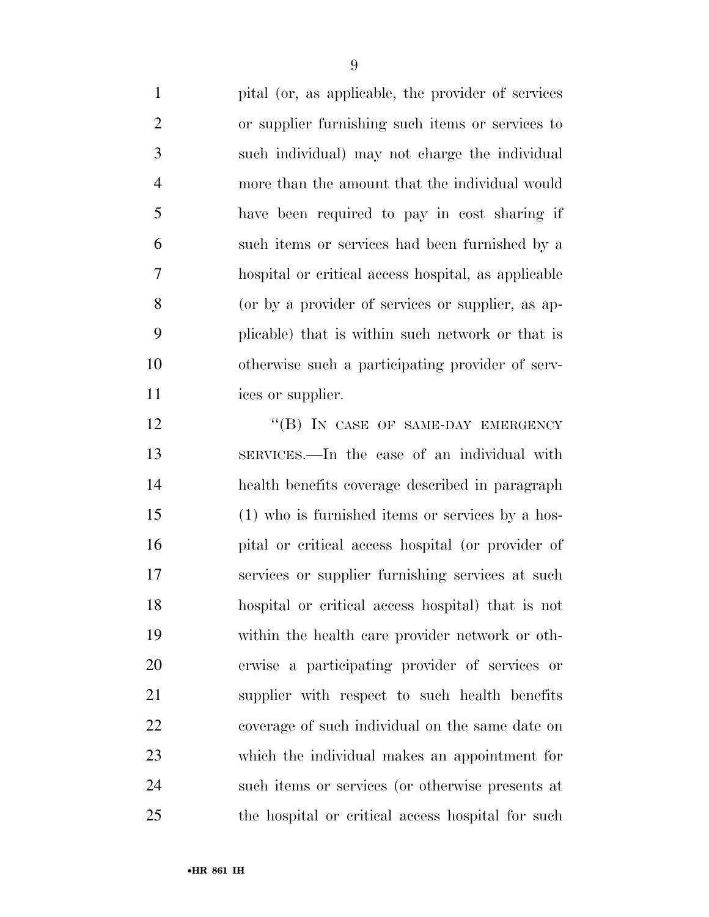pital (or, as applicable, the provider of services or supplier furnishing such items or services to such individual) may not charge the individual more than the amount that the individual would have been required to pay in cost sharing if such items or services had been furnished by a hospital or critical access hospital, as applicable (or by a provider of services or supplier, as ap- plicable) that is within such network or that is otherwise such a participating provider of serv-11 ices or supplier.

12 "(B) IN CASE OF SAME-DAY EMERGENCY SERVICES.—In the case of an individual with health benefits coverage described in paragraph (1) who is furnished items or services by a hos- pital or critical access hospital (or provider of services or supplier furnishing services at such hospital or critical access hospital) that is not within the health care provider network or oth- erwise a participating provider of services or supplier with respect to such health benefits coverage of such individual on the same date on which the individual makes an appointment for such items or services (or otherwise presents at the hospital or critical access hospital for such